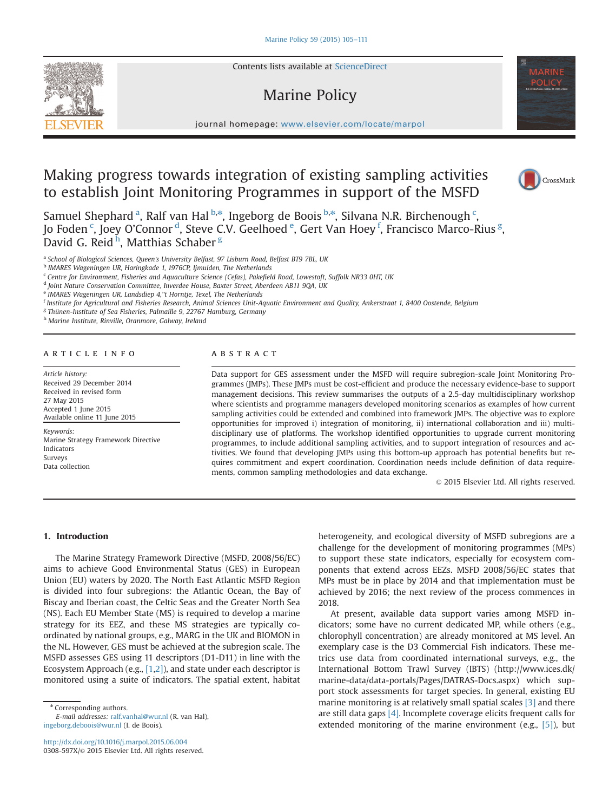

Contents lists available at [ScienceDirect](www.sciencedirect.com/science/journal/0308597X)

# Marine Policy

journal homepage: <www.elsevier.com/locate/marpol>



**MARINE** POLIC

# Making progress towards integration of existing sampling activities to establish Joint Monitoring Programmes in support of the MSFD



Samuel Shephard <sup>a</sup>, Ralf van Hal <sup>b,\*</sup>, Ingeborg de Boois <sup>b,\*</sup>, Silvana N.R. Birchenough <sup>c</sup>, Jo Foden <sup>c</sup>, Joey O'Connor <sup>d</sup>, Steve C.V. Geelhoed <sup>e</sup>, Gert Van Hoey <sup>f</sup>, Francisco Marco-Rius <sup>g</sup>, David G. Reid <sup>h</sup>, Matthias Schaber <sup>g</sup>

a School of Biological Sciences, Queen's University Belfast, 97 Lisburn Road, Belfast BT9 7BL, UK

<sup>b</sup> IMARES Wageningen UR, Haringkade 1, 1976CP, Ijmuiden, The Netherlands

<sup>c</sup> Centre for Environment, Fisheries and Aquaculture Science (Cefas), Pakefield Road, Lowestoft, Suffolk NR33 0HT, UK

<sup>d</sup> Joint Nature Conservation Committee, Inverdee House, Baxter Street, Aberdeen AB11 9QA, UK

<sup>e</sup> IMARES Wageningen UR, Landsdiep 4,''t Horntje, Texel, The Netherlands

<sup>f</sup> Institute for Agricultural and Fisheries Research, Animal Sciences Unit-Aquatic Environment and Quality, Ankerstraat 1, 8400 Oostende, Belgium

<sup>g</sup> Thünen-Institute of Sea Fisheries, Palmaille 9, 22767 Hamburg, Germany

h Marine Institute, Rinville, Oranmore, Galway, Ireland

## article info

Article history: Received 29 December 2014 Received in revised form 27 May 2015 Accepted 1 June 2015 Available online 11 June 2015

Keywords: Marine Strategy Framework Directive Indicators Surveys Data collection

# **ABSTRACT**

Data support for GES assessment under the MSFD will require subregion-scale Joint Monitoring Programmes (JMPs). These JMPs must be cost-efficient and produce the necessary evidence-base to support management decisions. This review summarises the outputs of a 2.5-day multidisciplinary workshop where scientists and programme managers developed monitoring scenarios as examples of how current sampling activities could be extended and combined into framework JMPs. The objective was to explore opportunities for improved i) integration of monitoring, ii) international collaboration and iii) multidisciplinary use of platforms. The workshop identified opportunities to upgrade current monitoring programmes, to include additional sampling activities, and to support integration of resources and activities. We found that developing JMPs using this bottom-up approach has potential benefits but requires commitment and expert coordination. Coordination needs include definition of data requirements, common sampling methodologies and data exchange.

 $\odot$  2015 Elsevier Ltd. All rights reserved.

# 1. Introduction

The Marine Strategy Framework Directive (MSFD, 2008/56/EC) aims to achieve Good Environmental Status (GES) in European Union (EU) waters by 2020. The North East Atlantic MSFD Region is divided into four subregions: the Atlantic Ocean, the Bay of Biscay and Iberian coast, the Celtic Seas and the Greater North Sea (NS). Each EU Member State (MS) is required to develop a marine strategy for its EEZ, and these MS strategies are typically coordinated by national groups, e.g., MARG in the UK and BIOMON in the NL. However, GES must be achieved at the subregion scale. The MSFD assesses GES using 11 descriptors (D1-D11) in line with the Ecosystem Approach (e.g., [\[1](#page-6-0),[2\]\)](#page-6-0), and state under each descriptor is monitored using a suite of indicators. The spatial extent, habitat

\* Corresponding authors. E-mail addresses: [ralf.vanhal@wur.nl](mailto:ralf.vanhal@wur.nl) (R. van Hal), [ingeborg.deboois@wur.nl](mailto:ingeborg.deboois@wur.nl) (I. de Boois).

<http://dx.doi.org/10.1016/j.marpol.2015.06.004> 0308-597X/© 2015 Elsevier Ltd. All rights reserved. heterogeneity, and ecological diversity of MSFD subregions are a challenge for the development of monitoring programmes (MPs) to support these state indicators, especially for ecosystem components that extend across EEZs. MSFD 2008/56/EC states that MPs must be in place by 2014 and that implementation must be achieved by 2016; the next review of the process commences in 2018.

At present, available data support varies among MSFD indicators; some have no current dedicated MP, while others (e.g., chlorophyll concentration) are already monitored at MS level. An exemplary case is the D3 Commercial Fish indicators. These metrics use data from coordinated international surveys, e.g., the International Bottom Trawl Survey (IBTS) (http://www.ices.dk/ marine-data/data-portals/Pages/DATRAS-Docs.aspx) which support stock assessments for target species. In general, existing EU marine monitoring is at relatively small spatial scales [\[3\]](#page-6-0) and there are still data gaps [\[4\]](#page-6-0). Incomplete coverage elicits frequent calls for extended monitoring of the marine environment (e.g., [\[5\]\)](#page-6-0), but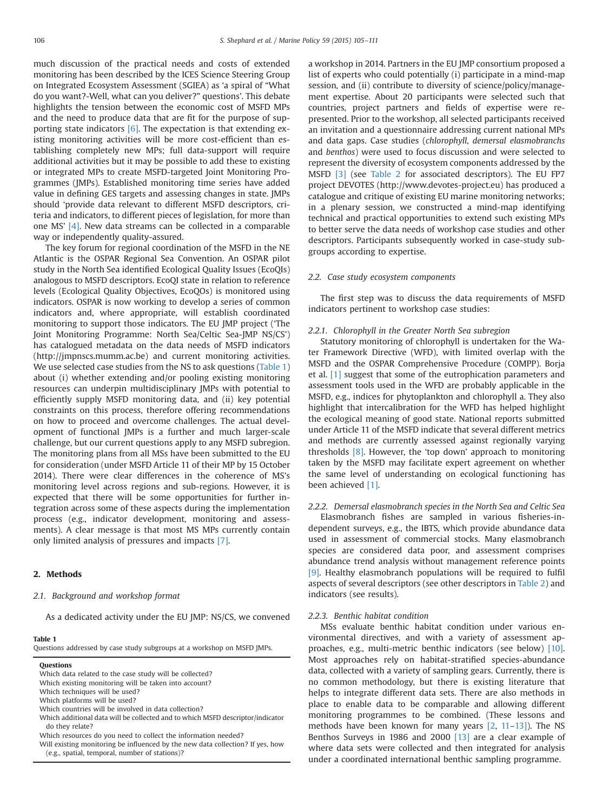<span id="page-1-0"></span>much discussion of the practical needs and costs of extended monitoring has been described by the ICES Science Steering Group on Integrated Ecosystem Assessment (SGIEA) as 'a spiral of "What do you want?-Well, what can you deliver?" questions'. This debate highlights the tension between the economic cost of MSFD MPs and the need to produce data that are fit for the purpose of supporting state indicators  $[6]$ . The expectation is that extending existing monitoring activities will be more cost-efficient than establishing completely new MPs; full data-support will require additional activities but it may be possible to add these to existing or integrated MPs to create MSFD-targeted Joint Monitoring Programmes (JMPs). Established monitoring time series have added value in defining GES targets and assessing changes in state. JMPs should 'provide data relevant to different MSFD descriptors, criteria and indicators, to different pieces of legislation, for more than one MS' [\[4\].](#page-6-0) New data streams can be collected in a comparable way or independently quality-assured.

The key forum for regional coordination of the MSFD in the NE Atlantic is the OSPAR Regional Sea Convention. An OSPAR pilot study in the North Sea identified Ecological Quality Issues (EcoQIs) analogous to MSFD descriptors. EcoQI state in relation to reference levels (Ecological Quality Objectives, EcoQOs) is monitored using indicators. OSPAR is now working to develop a series of common indicators and, where appropriate, will establish coordinated monitoring to support those indicators. The EU JMP project ('The Joint Monitoring Programme: North Sea/Celtic Sea-JMP NS/CS') has catalogued metadata on the data needs of MSFD indicators (http://jmpnscs.mumm.ac.be) and current monitoring activities. We use selected case studies from the NS to ask questions (Table 1) about (i) whether extending and/or pooling existing monitoring resources can underpin multidisciplinary JMPs with potential to efficiently supply MSFD monitoring data, and (ii) key potential constraints on this process, therefore offering recommendations on how to proceed and overcome challenges. The actual development of functional JMPs is a further and much larger-scale challenge, but our current questions apply to any MSFD subregion. The monitoring plans from all MSs have been submitted to the EU for consideration (under MSFD Article 11 of their MP by 15 October 2014). There were clear differences in the coherence of MS's monitoring level across regions and sub-regions. However, it is expected that there will be some opportunities for further integration across some of these aspects during the implementation process (e.g., indicator development, monitoring and assessments). A clear message is that most MS MPs currently contain only limited analysis of pressures and impacts [\[7\]](#page-6-0).

# 2. Methods

# 2.1. Background and workshop format

As a dedicated activity under the EU JMP: NS/CS, we convened

# Table 1

Questions addressed by case study subgroups at a workshop on MSFD JMPs.

#### **Ouestions**

Which data related to the case study will be collected?

Which existing monitoring will be taken into account?

Which techniques will be used? Which platforms will be used?

Which countries will be involved in data collection?

Which additional data will be collected and to which MSFD descriptor/indicator do they relate?

Which resources do you need to collect the information needed?

Will existing monitoring be influenced by the new data collection? If yes, how (e.g., spatial, temporal, number of stations)?

a workshop in 2014. Partners in the EU JMP consortium proposed a list of experts who could potentially (i) participate in a mind-map session, and (ii) contribute to diversity of science/policy/management expertise. About 20 participants were selected such that countries, project partners and fields of expertise were represented. Prior to the workshop, all selected participants received an invitation and a questionnaire addressing current national MPs and data gaps. Case studies (chlorophyll, demersal elasmobranchs and benthos) were used to focus discussion and were selected to represent the diversity of ecosystem components addressed by the MSFD [\[3\]](#page-6-0) (see [Table 2](#page-2-0) for associated descriptors). The EU FP7 project DEVOTES (http://www.devotes-project.eu) has produced a catalogue and critique of existing EU marine monitoring networks; in a plenary session, we constructed a mind-map identifying technical and practical opportunities to extend such existing MPs to better serve the data needs of workshop case studies and other descriptors. Participants subsequently worked in case-study subgroups according to expertise.

## 2.2. Case study ecosystem components

The first step was to discuss the data requirements of MSFD indicators pertinent to workshop case studies:

# 2.2.1. Chlorophyll in the Greater North Sea subregion

Statutory monitoring of chlorophyll is undertaken for the Water Framework Directive (WFD), with limited overlap with the MSFD and the OSPAR Comprehensive Procedure (COMPP). Borja et al. [\[1\]](#page-6-0) suggest that some of the eutrophication parameters and assessment tools used in the WFD are probably applicable in the MSFD, e.g., indices for phytoplankton and chlorophyll a. They also highlight that intercalibration for the WFD has helped highlight the ecological meaning of good state. National reports submitted under Article 11 of the MSFD indicate that several different metrics and methods are currently assessed against regionally varying thresholds [\[8\].](#page-6-0) However, the 'top down' approach to monitoring taken by the MSFD may facilitate expert agreement on whether the same level of understanding on ecological functioning has been achieved [\[1\].](#page-6-0)

## 2.2.2. Demersal elasmobranch species in the North Sea and Celtic Sea

Elasmobranch fishes are sampled in various fisheries-independent surveys, e.g., the IBTS, which provide abundance data used in assessment of commercial stocks. Many elasmobranch species are considered data poor, and assessment comprises abundance trend analysis without management reference points [\[9\]](#page-6-0). Healthy elasmobranch populations will be required to fulfil aspects of several descriptors (see other descriptors in [Table 2](#page-2-0)) and indicators (see results).

# 2.2.3. Benthic habitat condition

MSs evaluate benthic habitat condition under various environmental directives, and with a variety of assessment approaches, e.g., multi-metric benthic indicators (see below) [\[10\].](#page-6-0) Most approaches rely on habitat-stratified species-abundance data, collected with a variety of sampling gears. Currently, there is no common methodology, but there is existing literature that helps to integrate different data sets. There are also methods in place to enable data to be comparable and allowing different monitoring programmes to be combined. (These lessons and methods have been known for many years [\[2](#page-6-0), [11](#page-6-0)–[13\]\)](#page-6-0). The NS Benthos Surveys in 1986 and 2000 [\[13\]](#page-6-0) are a clear example of where data sets were collected and then integrated for analysis under a coordinated international benthic sampling programme.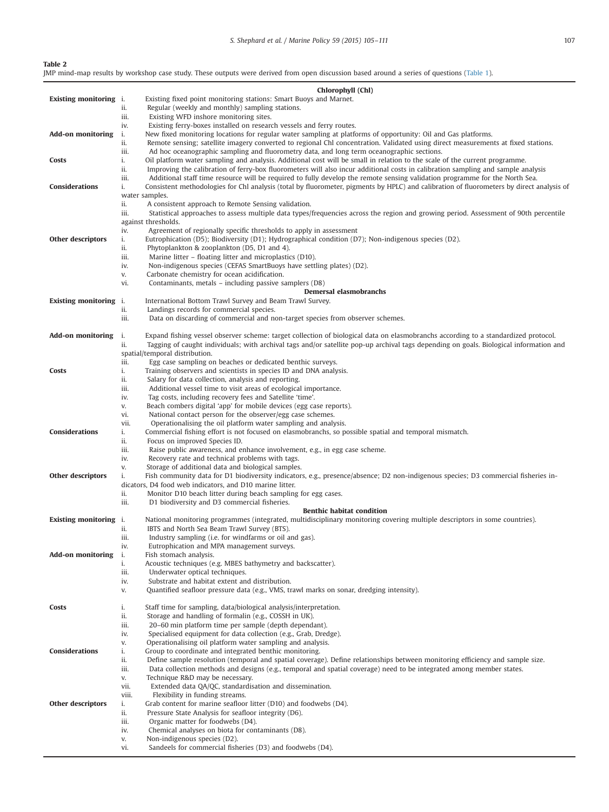# <span id="page-2-0"></span>Table 2

JMP mind-map results by workshop case study. These outputs were derived from open discussion based around a series of questions ([Table 1](#page-1-0)).

|                               |       | Chlorophyll (Chl)                                                                                                                        |
|-------------------------------|-------|------------------------------------------------------------------------------------------------------------------------------------------|
| <b>Existing monitoring</b> i. |       | Existing fixed point monitoring stations: Smart Buoys and Marnet.                                                                        |
|                               | ii.   | Regular (weekly and monthly) sampling stations.                                                                                          |
|                               | iii.  | Existing WFD inshore monitoring sites.                                                                                                   |
|                               | iv.   | Existing ferry-boxes installed on research vessels and ferry routes.                                                                     |
| <b>Add-on monitoring</b>      | i.    | New fixed monitoring locations for regular water sampling at platforms of opportunity: Oil and Gas platforms.                            |
|                               | ii.   | Remote sensing; satellite imagery converted to regional Chl concentration. Validated using direct measurements at fixed stations.        |
|                               | iii.  | Ad hoc oceanographic sampling and fluorometry data, and long term oceanographic sections.                                                |
| Costs                         | i.    | Oil platform water sampling and analysis. Additional cost will be small in relation to the scale of the current programme.               |
|                               | ii.   | Improving the calibration of ferry-box fluorometers will also incur additional costs in calibration sampling and sample analysis         |
|                               | iii.  | Additional staff time resource will be required to fully develop the remote sensing validation programme for the North Sea.              |
| Considerations                | i.    | Consistent methodologies for Chl analysis (total by fluorometer, pigments by HPLC) and calibration of fluorometers by direct analysis of |
|                               |       | water samples.                                                                                                                           |
|                               | ii.   | A consistent approach to Remote Sensing validation.                                                                                      |
|                               | iii.  | Statistical approaches to assess multiple data types/frequencies across the region and growing period. Assessment of 90th percentile     |
|                               |       | against thresholds.                                                                                                                      |
|                               | iv.   | Agreement of regionally specific thresholds to apply in assessment                                                                       |
| Other descriptors             | i.    | Eutrophication (D5); Biodiversity (D1); Hydrographical condition (D7); Non-indigenous species (D2).                                      |
|                               | ii.   | Phytoplankton & zooplankton (D5, D1 and 4).                                                                                              |
|                               | iii.  | Marine litter – floating litter and microplastics (D10).                                                                                 |
|                               | iv.   | Non-indigenous species (CEFAS SmartBuoys have settling plates) (D2).                                                                     |
|                               | v.    | Carbonate chemistry for ocean acidification.                                                                                             |
|                               | vi.   | Contaminants, metals – including passive samplers (D8)                                                                                   |
|                               |       | <b>Demersal elasmobranchs</b>                                                                                                            |
| Existing monitoring i.        |       | International Bottom Trawl Survey and Beam Trawl Survey.                                                                                 |
|                               | ii.   | Landings records for commercial species.                                                                                                 |
|                               | iii.  |                                                                                                                                          |
|                               |       | Data on discarding of commercial and non-target species from observer schemes.                                                           |
| <b>Add-on monitoring</b>      | i.    | Expand fishing vessel observer scheme: target collection of biological data on elasmobranchs according to a standardized protocol.       |
|                               | ii.   | Tagging of caught individuals; with archival tags and/or satellite pop-up archival tags depending on goals. Biological information and   |
|                               |       | spatial/temporal distribution.                                                                                                           |
|                               | iii.  | Egg case sampling on beaches or dedicated benthic surveys.                                                                               |
| Costs                         | i.    |                                                                                                                                          |
|                               |       | Training observers and scientists in species ID and DNA analysis.                                                                        |
|                               | ii.   | Salary for data collection, analysis and reporting.                                                                                      |
|                               | iii.  | Additional vessel time to visit areas of ecological importance.                                                                          |
|                               | iv.   | Tag costs, including recovery fees and Satellite 'time'.                                                                                 |
|                               | V.    | Beach combers digital 'app' for mobile devices (egg case reports).                                                                       |
|                               | vi.   | National contact person for the observer/egg case schemes.                                                                               |
|                               | vii.  | Operationalising the oil platform water sampling and analysis.                                                                           |
| Considerations                | i.    | Commercial fishing effort is not focused on elasmobranchs, so possible spatial and temporal mismatch.                                    |
|                               | ii.   | Focus on improved Species ID.                                                                                                            |
|                               | iii.  | Raise public awareness, and enhance involvement, e.g., in egg case scheme.                                                               |
|                               | iv.   | Recovery rate and technical problems with tags.                                                                                          |
|                               | V.    | Storage of additional data and biological samples.                                                                                       |
| <b>Other descriptors</b>      | i.    | Fish community data for D1 biodiversity indicators, e.g., presence/absence; D2 non-indigenous species; D3 commercial fisheries in-       |
|                               |       | dicators, D4 food web indicators, and D10 marine litter.                                                                                 |
|                               | ii.   | Monitor D10 beach litter during beach sampling for egg cases.                                                                            |
|                               | iii.  | D1 biodiversity and D3 commercial fisheries.                                                                                             |
|                               |       | <b>Benthic habitat condition</b>                                                                                                         |
| Existing monitoring i.        |       | National monitoring programmes (integrated, multidisciplinary monitoring covering multiple descriptors in some countries).               |
|                               | ii.   | IBTS and North Sea Beam Trawl Survey (BTS).                                                                                              |
|                               | iii.  | Industry sampling (i.e. for windfarms or oil and gas).                                                                                   |
|                               | iv.   | Eutrophication and MPA management surveys.                                                                                               |
| <b>Add-on monitoring</b>      | i.    | Fish stomach analysis.                                                                                                                   |
|                               | i.    | Acoustic techniques (e.g. MBES bathymetry and backscatter).                                                                              |
|                               | iii.  | Underwater optical techniques.                                                                                                           |
|                               | iv.   | Substrate and habitat extent and distribution.                                                                                           |
|                               | v.    | Quantified seafloor pressure data (e.g., VMS, trawl marks on sonar, dredging intensity).                                                 |
|                               |       |                                                                                                                                          |
| Costs                         | i.    | Staff time for sampling, data/biological analysis/interpretation.                                                                        |
|                               | ii.   | Storage and handling of formalin (e.g., COSSH in UK).                                                                                    |
|                               | iii.  | 20–60 min platform time per sample (depth dependant).                                                                                    |
|                               | iv.   | Specialised equipment for data collection (e.g., Grab, Dredge).                                                                          |
|                               | v.    | Operationalising oil platform water sampling and analysis.                                                                               |
| <b>Considerations</b>         | i.    | Group to coordinate and integrated benthic monitoring.                                                                                   |
|                               | ii.   | Define sample resolution (temporal and spatial coverage). Define relationships between monitoring efficiency and sample size.            |
|                               | iii.  | Data collection methods and designs (e.g., temporal and spatial coverage) need to be integrated among member states.                     |
|                               | v.    | Technique R&D may be necessary.                                                                                                          |
|                               | vii.  | Extended data QA/QC, standardisation and dissemination.                                                                                  |
|                               | viii. | Flexibility in funding streams.                                                                                                          |
| <b>Other descriptors</b>      | i.    | Grab content for marine seafloor litter (D10) and foodwebs (D4).                                                                         |
|                               | ii.   | Pressure State Analysis for seafloor integrity (D6).                                                                                     |
|                               | iii.  | Organic matter for foodwebs (D4).                                                                                                        |
|                               | iv.   | Chemical analyses on biota for contaminants (D8).                                                                                        |
|                               | v.    | Non-indigenous species (D2).                                                                                                             |
|                               | vi.   | Sandeels for commercial fisheries (D3) and foodwebs (D4).                                                                                |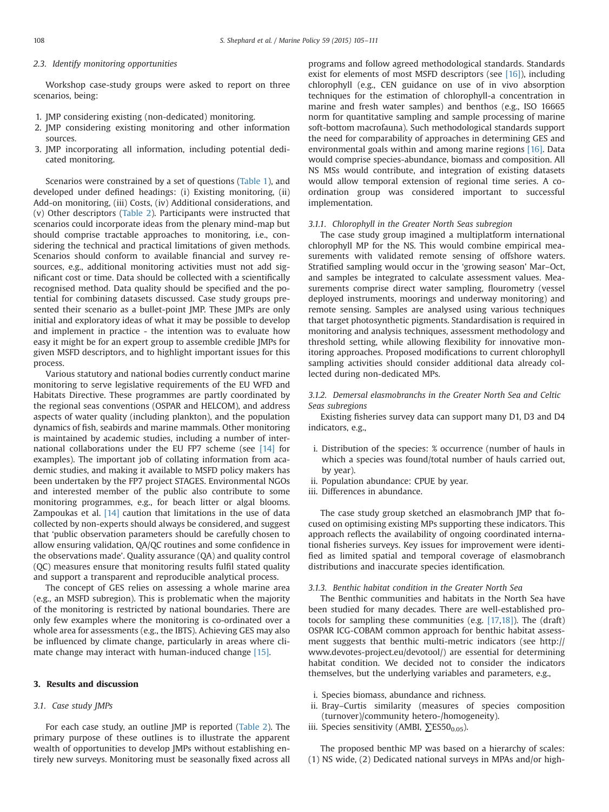## 2.3. Identify monitoring opportunities

Workshop case-study groups were asked to report on three scenarios, being:

- 1. JMP considering existing (non-dedicated) monitoring.
- 2. JMP considering existing monitoring and other information sources.
- 3. JMP incorporating all information, including potential dedicated monitoring.

Scenarios were constrained by a set of questions ([Table 1](#page-1-0)), and developed under defined headings: (i) Existing monitoring, (ii) Add-on monitoring, (iii) Costs, (iv) Additional considerations, and (v) Other descriptors ([Table 2\)](#page-2-0). Participants were instructed that scenarios could incorporate ideas from the plenary mind-map but should comprise tractable approaches to monitoring, i.e., considering the technical and practical limitations of given methods. Scenarios should conform to available financial and survey resources, e.g., additional monitoring activities must not add significant cost or time. Data should be collected with a scientifically recognised method. Data quality should be specified and the potential for combining datasets discussed. Case study groups presented their scenario as a bullet-point JMP. These JMPs are only initial and exploratory ideas of what it may be possible to develop and implement in practice - the intention was to evaluate how easy it might be for an expert group to assemble credible JMPs for given MSFD descriptors, and to highlight important issues for this process.

Various statutory and national bodies currently conduct marine monitoring to serve legislative requirements of the EU WFD and Habitats Directive. These programmes are partly coordinated by the regional seas conventions (OSPAR and HELCOM), and address aspects of water quality (including plankton), and the population dynamics of fish, seabirds and marine mammals. Other monitoring is maintained by academic studies, including a number of international collaborations under the EU FP7 scheme (see [\[14\]](#page-6-0) for examples). The important job of collating information from academic studies, and making it available to MSFD policy makers has been undertaken by the FP7 project STAGES. Environmental NGOs and interested member of the public also contribute to some monitoring programmes, e.g., for beach litter or algal blooms. Zampoukas et al. [\[14\]](#page-6-0) caution that limitations in the use of data collected by non-experts should always be considered, and suggest that 'public observation parameters should be carefully chosen to allow ensuring validation, QA/QC routines and some confidence in the observations made'. Quality assurance (QA) and quality control (QC) measures ensure that monitoring results fulfil stated quality and support a transparent and reproducible analytical process.

The concept of GES relies on assessing a whole marine area (e.g., an MSFD subregion). This is problematic when the majority of the monitoring is restricted by national boundaries. There are only few examples where the monitoring is co-ordinated over a whole area for assessments (e.g., the IBTS). Achieving GES may also be influenced by climate change, particularly in areas where cli-mate change may interact with human-induced change [\[15\]](#page-6-0).

# 3. Results and discussion

## 3.1. Case study JMPs

For each case study, an outline JMP is reported ([Table 2\)](#page-2-0). The primary purpose of these outlines is to illustrate the apparent wealth of opportunities to develop JMPs without establishing entirely new surveys. Monitoring must be seasonally fixed across all programs and follow agreed methodological standards. Standards exist for elements of most MSFD descriptors (see [\[16\]](#page-6-0)), including chlorophyll (e.g., CEN guidance on use of in vivo absorption techniques for the estimation of chlorophyll-a concentration in marine and fresh water samples) and benthos (e.g., ISO 16665 norm for quantitative sampling and sample processing of marine soft-bottom macrofauna). Such methodological standards support the need for comparability of approaches in determining GES and environmental goals within and among marine regions [\[16\].](#page-6-0) Data would comprise species-abundance, biomass and composition. All NS MSs would contribute, and integration of existing datasets would allow temporal extension of regional time series. A coordination group was considered important to successful implementation.

## 3.1.1. Chlorophyll in the Greater North Seas subregion

The case study group imagined a multiplatform international chlorophyll MP for the NS. This would combine empirical measurements with validated remote sensing of offshore waters. Stratified sampling would occur in the 'growing season' Mar–Oct, and samples be integrated to calculate assessment values. Measurements comprise direct water sampling, flourometry (vessel deployed instruments, moorings and underway monitoring) and remote sensing. Samples are analysed using various techniques that target photosynthetic pigments. Standardisation is required in monitoring and analysis techniques, assessment methodology and threshold setting, while allowing flexibility for innovative monitoring approaches. Proposed modifications to current chlorophyll sampling activities should consider additional data already collected during non-dedicated MPs.

# 3.1.2. Demersal elasmobranchs in the Greater North Sea and Celtic Seas subregions

Existing fisheries survey data can support many D1, D3 and D4 indicators, e.g.,

- i. Distribution of the species: % occurrence (number of hauls in which a species was found/total number of hauls carried out, by year).
- ii. Population abundance: CPUE by year.
- iii. Differences in abundance.

The case study group sketched an elasmobranch JMP that focused on optimising existing MPs supporting these indicators. This approach reflects the availability of ongoing coordinated international fisheries surveys. Key issues for improvement were identified as limited spatial and temporal coverage of elasmobranch distributions and inaccurate species identification.

# 3.1.3. Benthic habitat condition in the Greater North Sea

The Benthic communities and habitats in the North Sea have been studied for many decades. There are well-established protocols for sampling these communities (e.g. [\[17,18\]](#page-6-0)). The (draft) OSPAR ICG-COBAM common approach for benthic habitat assessment suggests that benthic multi-metric indicators (see http:// www.devotes-project.eu/devotool/) are essential for determining habitat condition. We decided not to consider the indicators themselves, but the underlying variables and parameters, e.g.,

- i. Species biomass, abundance and richness.
- ii. Bray–Curtis similarity (measures of species composition (turnover)/community hetero-/homogeneity).
- iii. Species sensitivity (AMBI,  $\Sigma$ ES50<sub>0.05</sub>).

The proposed benthic MP was based on a hierarchy of scales: (1) NS wide, (2) Dedicated national surveys in MPAs and/or high-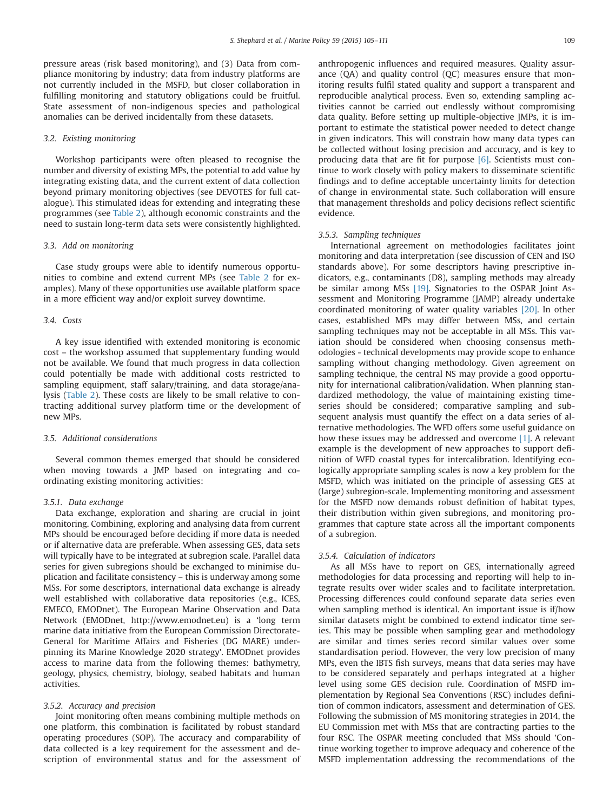pressure areas (risk based monitoring), and (3) Data from compliance monitoring by industry; data from industry platforms are not currently included in the MSFD, but closer collaboration in fulfilling monitoring and statutory obligations could be fruitful. State assessment of non-indigenous species and pathological anomalies can be derived incidentally from these datasets.

# 3.2. Existing monitoring

Workshop participants were often pleased to recognise the number and diversity of existing MPs, the potential to add value by integrating existing data, and the current extent of data collection beyond primary monitoring objectives (see DEVOTES for full catalogue). This stimulated ideas for extending and integrating these programmes (see [Table 2\)](#page-2-0), although economic constraints and the need to sustain long-term data sets were consistently highlighted.

# 3.3. Add on monitoring

Case study groups were able to identify numerous opportunities to combine and extend current MPs (see [Table 2](#page-2-0) for examples). Many of these opportunities use available platform space in a more efficient way and/or exploit survey downtime.

# 3.4. Costs

A key issue identified with extended monitoring is economic cost – the workshop assumed that supplementary funding would not be available. We found that much progress in data collection could potentially be made with additional costs restricted to sampling equipment, staff salary/training, and data storage/analysis [\(Table 2](#page-2-0)). These costs are likely to be small relative to contracting additional survey platform time or the development of new MPs.

# 3.5. Additional considerations

Several common themes emerged that should be considered when moving towards a JMP based on integrating and coordinating existing monitoring activities:

### 3.5.1. Data exchange

Data exchange, exploration and sharing are crucial in joint monitoring. Combining, exploring and analysing data from current MPs should be encouraged before deciding if more data is needed or if alternative data are preferable. When assessing GES, data sets will typically have to be integrated at subregion scale. Parallel data series for given subregions should be exchanged to minimise duplication and facilitate consistency – this is underway among some MSs. For some descriptors, international data exchange is already well established with collaborative data repositories (e.g., ICES, EMECO, EMODnet). The European Marine Observation and Data Network (EMODnet, http://www.emodnet.eu) is a 'long term marine data initiative from the European Commission Directorate-General for Maritime Affairs and Fisheries (DG MARE) underpinning its Marine Knowledge 2020 strategy'. EMODnet provides access to marine data from the following themes: bathymetry, geology, physics, chemistry, biology, seabed habitats and human activities.

### 3.5.2. Accuracy and precision

Joint monitoring often means combining multiple methods on one platform, this combination is facilitated by robust standard operating procedures (SOP). The accuracy and comparability of data collected is a key requirement for the assessment and description of environmental status and for the assessment of anthropogenic influences and required measures. Quality assurance (QA) and quality control (QC) measures ensure that monitoring results fulfil stated quality and support a transparent and reproducible analytical process. Even so, extending sampling activities cannot be carried out endlessly without compromising data quality. Before setting up multiple-objective JMPs, it is important to estimate the statistical power needed to detect change in given indicators. This will constrain how many data types can be collected without losing precision and accuracy, and is key to producing data that are fit for purpose [\[6\]](#page-6-0). Scientists must continue to work closely with policy makers to disseminate scientific findings and to define acceptable uncertainty limits for detection of change in environmental state. Such collaboration will ensure that management thresholds and policy decisions reflect scientific evidence.

# 3.5.3. Sampling techniques

International agreement on methodologies facilitates joint monitoring and data interpretation (see discussion of CEN and ISO standards above). For some descriptors having prescriptive indicators, e.g., contaminants (D8), sampling methods may already be similar among MSs [\[19\]](#page-6-0). Signatories to the OSPAR Joint Assessment and Monitoring Programme (JAMP) already undertake coordinated monitoring of water quality variables [\[20\]](#page-6-0). In other cases, established MPs may differ between MSs, and certain sampling techniques may not be acceptable in all MSs. This variation should be considered when choosing consensus methodologies - technical developments may provide scope to enhance sampling without changing methodology. Given agreement on sampling technique, the central NS may provide a good opportunity for international calibration/validation. When planning standardized methodology, the value of maintaining existing timeseries should be considered; comparative sampling and subsequent analysis must quantify the effect on a data series of alternative methodologies. The WFD offers some useful guidance on how these issues may be addressed and overcome [\[1\].](#page-6-0) A relevant example is the development of new approaches to support definition of WFD coastal types for intercalibration. Identifying ecologically appropriate sampling scales is now a key problem for the MSFD, which was initiated on the principle of assessing GES at (large) subregion-scale. Implementing monitoring and assessment for the MSFD now demands robust definition of habitat types, their distribution within given subregions, and monitoring programmes that capture state across all the important components of a subregion.

### 3.5.4. Calculation of indicators

As all MSs have to report on GES, internationally agreed methodologies for data processing and reporting will help to integrate results over wider scales and to facilitate interpretation. Processing differences could confound separate data series even when sampling method is identical. An important issue is if/how similar datasets might be combined to extend indicator time series. This may be possible when sampling gear and methodology are similar and times series record similar values over some standardisation period. However, the very low precision of many MPs, even the IBTS fish surveys, means that data series may have to be considered separately and perhaps integrated at a higher level using some GES decision rule. Coordination of MSFD implementation by Regional Sea Conventions (RSC) includes definition of common indicators, assessment and determination of GES. Following the submission of MS monitoring strategies in 2014, the EU Commission met with MSs that are contracting parties to the four RSC. The OSPAR meeting concluded that MSs should 'Continue working together to improve adequacy and coherence of the MSFD implementation addressing the recommendations of the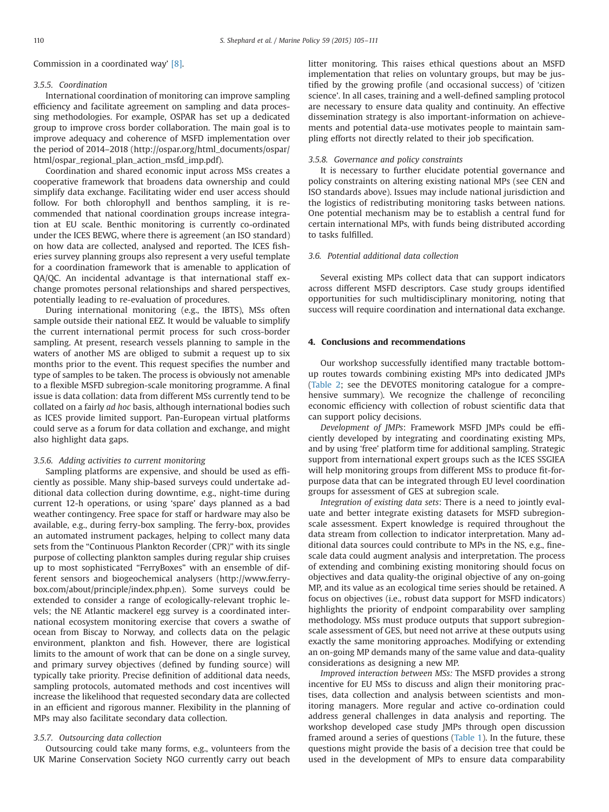Commission in a coordinated way' [\[8\]](#page-6-0).

## 3.5.5. Coordination

International coordination of monitoring can improve sampling efficiency and facilitate agreement on sampling and data processing methodologies. For example, OSPAR has set up a dedicated group to improve cross border collaboration. The main goal is to improve adequacy and coherence of MSFD implementation over the period of 2014–2018 (http://ospar.org/html\_documents/ospar/ html/ospar\_regional\_plan\_action\_msfd\_imp.pdf).

Coordination and shared economic input across MSs creates a cooperative framework that broadens data ownership and could simplify data exchange. Facilitating wider end user access should follow. For both chlorophyll and benthos sampling, it is recommended that national coordination groups increase integration at EU scale. Benthic monitoring is currently co-ordinated under the ICES BEWG, where there is agreement (an ISO standard) on how data are collected, analysed and reported. The ICES fisheries survey planning groups also represent a very useful template for a coordination framework that is amenable to application of QA/QC. An incidental advantage is that international staff exchange promotes personal relationships and shared perspectives, potentially leading to re-evaluation of procedures.

During international monitoring (e.g., the IBTS), MSs often sample outside their national EEZ. It would be valuable to simplify the current international permit process for such cross-border sampling. At present, research vessels planning to sample in the waters of another MS are obliged to submit a request up to six months prior to the event. This request specifies the number and type of samples to be taken. The process is obviously not amenable to a flexible MSFD subregion-scale monitoring programme. A final issue is data collation: data from different MSs currently tend to be collated on a fairly ad hoc basis, although international bodies such as ICES provide limited support. Pan-European virtual platforms could serve as a forum for data collation and exchange, and might also highlight data gaps.

## 3.5.6. Adding activities to current monitoring

Sampling platforms are expensive, and should be used as efficiently as possible. Many ship-based surveys could undertake additional data collection during downtime, e.g., night-time during current 12-h operations, or using 'spare' days planned as a bad weather contingency. Free space for staff or hardware may also be available, e.g., during ferry-box sampling. The ferry-box, provides an automated instrument packages, helping to collect many data sets from the "Continuous Plankton Recorder (CPR)" with its single purpose of collecting plankton samples during regular ship cruises up to most sophisticated "FerryBoxes" with an ensemble of different sensors and biogeochemical analysers (http://www.ferrybox.com/about/principle/index.php.en). Some surveys could be extended to consider a range of ecologically-relevant trophic levels; the NE Atlantic mackerel egg survey is a coordinated international ecosystem monitoring exercise that covers a swathe of ocean from Biscay to Norway, and collects data on the pelagic environment, plankton and fish. However, there are logistical limits to the amount of work that can be done on a single survey, and primary survey objectives (defined by funding source) will typically take priority. Precise definition of additional data needs, sampling protocols, automated methods and cost incentives will increase the likelihood that requested secondary data are collected in an efficient and rigorous manner. Flexibility in the planning of MPs may also facilitate secondary data collection.

## 3.5.7. Outsourcing data collection

Outsourcing could take many forms, e.g., volunteers from the UK Marine Conservation Society NGO currently carry out beach litter monitoring. This raises ethical questions about an MSFD implementation that relies on voluntary groups, but may be justified by the growing profile (and occasional success) of 'citizen science'. In all cases, training and a well-defined sampling protocol are necessary to ensure data quality and continuity. An effective dissemination strategy is also important-information on achievements and potential data-use motivates people to maintain sampling efforts not directly related to their job specification.

# 3.5.8. Governance and policy constraints

It is necessary to further elucidate potential governance and policy constraints on altering existing national MPs (see CEN and ISO standards above). Issues may include national jurisdiction and the logistics of redistributing monitoring tasks between nations. One potential mechanism may be to establish a central fund for certain international MPs, with funds being distributed according to tasks fulfilled.

# 3.6. Potential additional data collection

Several existing MPs collect data that can support indicators across different MSFD descriptors. Case study groups identified opportunities for such multidisciplinary monitoring, noting that success will require coordination and international data exchange.

## 4. Conclusions and recommendations

Our workshop successfully identified many tractable bottomup routes towards combining existing MPs into dedicated JMPs ([Table 2](#page-2-0); see the DEVOTES monitoring catalogue for a comprehensive summary). We recognize the challenge of reconciling economic efficiency with collection of robust scientific data that can support policy decisions.

Development of JMPs: Framework MSFD JMPs could be efficiently developed by integrating and coordinating existing MPs, and by using 'free' platform time for additional sampling. Strategic support from international expert groups such as the ICES SSGIEA will help monitoring groups from different MSs to produce fit-forpurpose data that can be integrated through EU level coordination groups for assessment of GES at subregion scale.

Integration of existing data sets: There is a need to jointly evaluate and better integrate existing datasets for MSFD subregionscale assessment. Expert knowledge is required throughout the data stream from collection to indicator interpretation. Many additional data sources could contribute to MPs in the NS, e.g., finescale data could augment analysis and interpretation. The process of extending and combining existing monitoring should focus on objectives and data quality-the original objective of any on-going MP, and its value as an ecological time series should be retained. A focus on objectives (i.e., robust data support for MSFD indicators) highlights the priority of endpoint comparability over sampling methodology. MSs must produce outputs that support subregionscale assessment of GES, but need not arrive at these outputs using exactly the same monitoring approaches. Modifying or extending an on-going MP demands many of the same value and data-quality considerations as designing a new MP.

Improved interaction between MSs: The MSFD provides a strong incentive for EU MSs to discuss and align their monitoring practises, data collection and analysis between scientists and monitoring managers. More regular and active co-ordination could address general challenges in data analysis and reporting. The workshop developed case study JMPs through open discussion framed around a series of questions ([Table 1\)](#page-1-0). In the future, these questions might provide the basis of a decision tree that could be used in the development of MPs to ensure data comparability